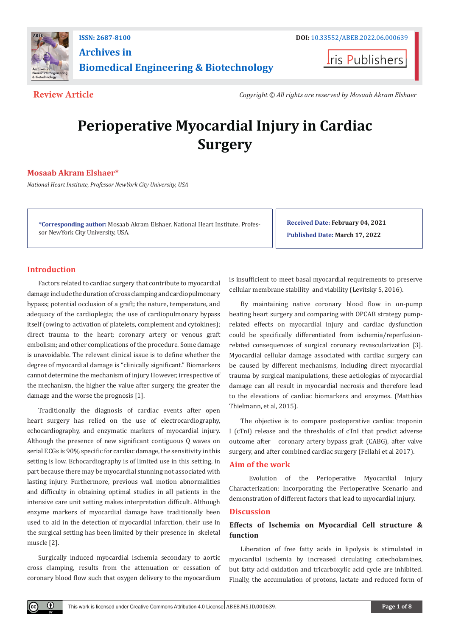

**Archives in** 

**Biomedical Engineering & Biotechnology**

**ISSN: 2687-8100 DOI:** [10.33552/ABEB.2022.06.000639](http://dx.doi.org/10.33552/ABEB.2022.06.000639)

**I**ris Publishers

**Review Article** *Copyright © All rights are reserved by Mosaab Akram Elshaer*

# **Perioperative Myocardial Injury in Cardiac Surgery**

# **Mosaab Akram Elshaer\***

*National Heart Institute, Professor NewYork City University, USA*

**\*Corresponding author:** Mosaab Akram Elshaer, National Heart Institute, Professor NewYork City University, USA.

**Received Date: February 04, 2021 Published Date: March 17, 2022**

# **Introduction**

Factors related to cardiac surgery that contribute to myocardial damage include the duration of cross clamping and cardiopulmonary bypass; potential occlusion of a graft; the nature, temperature, and adequacy of the cardioplegia; the use of cardiopulmonary bypass itself (owing to activation of platelets, complement and cytokines); direct trauma to the heart; coronary artery or venous graft embolism; and other complications of the procedure. Some damage is unavoidable. The relevant clinical issue is to define whether the degree of myocardial damage is "clinically significant." Biomarkers cannot determine the mechanism of injury However, irrespective of the mechanism, the higher the value after surgery, the greater the damage and the worse the prognosis [1].

Traditionally the diagnosis of cardiac events after open heart surgery has relied on the use of electrocardiography, echocardiography, and enzymatic markers of myocardial injury. Although the presence of new significant contiguous Q waves on serial ECGs is 90% specific for cardiac damage, the sensitivity in this setting is low. Echocardiography is of limited use in this setting, in part because there may be myocardial stunning not associated with lasting injury. Furthermore, previous wall motion abnormalities and difficulty in obtaining optimal studies in all patients in the intensive care unit setting makes interpretation difficult. Although enzyme markers of myocardial damage have traditionally been used to aid in the detection of myocardial infarction, their use in the surgical setting has been limited by their presence in skeletal muscle [2].

Surgically induced myocardial ischemia secondary to aortic cross clamping, results from the attenuation or cessation of coronary blood flow such that oxygen delivery to the myocardium

is insufficient to meet basal myocardial requirements to preserve cellular membrane stability and viability (Levitsky S, 2016).

By maintaining native coronary blood flow in on-pump beating heart surgery and comparing with OPCAB strategy pumprelated effects on myocardial injury and cardiac dysfunction could be specifically differentiated from ischemia/reperfusionrelated consequences of surgical coronary revascularization [3]. Myocardial cellular damage associated with cardiac surgery can be caused by different mechanisms, including direct myocardial trauma by surgical manipulations, these aetiologias of myocardial damage can all result in myocardial necrosis and therefore lead to the elevations of cardiac biomarkers and enzymes. (Matthias Thielmann, et al, 2015).

The objective is to compare postoperative cardiac troponin I (cTnI) release and the thresholds of cTnI that predict adverse outcome after coronary artery bypass graft (CABG), after valve surgery, and after combined cardiac surgery (Fellahi et al 2017).

# **Aim of the work**

 Evolution of the Perioperative Myocardial Injury Characterization: Incorporating the Perioperative Scenario and demonstration of different factors that lead to myocardial injury.

# **Discussion**

# **Effects of Ischemia on Myocardial Cell structure & function**

Liberation of free fatty acids in lipolysis is stimulated in myocardial ischemia by increased circulating catecholamines, but fatty acid oxidation and tricarboxylic acid cycle are inhibited. Finally, the accumulation of protons, lactate and reduced form of

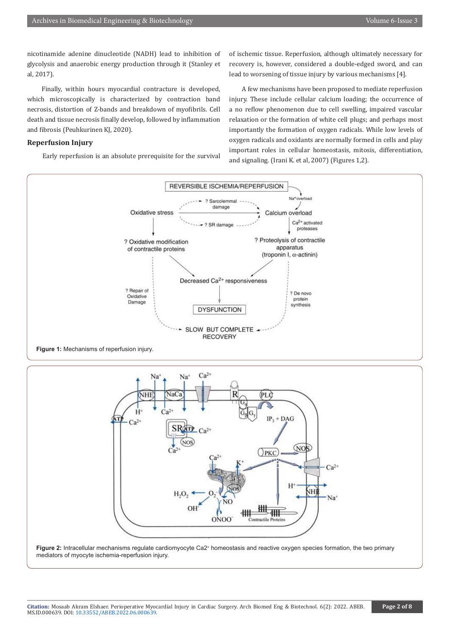nicotinamide adenine dinucleotide (NADH) lead to inhibition of glycolysis and anaerobic energy production through it (Stanley et al, 2017).

 Finally, within hours myocardial contracture is developed, which microscopically is characterized by contraction band necrosis, distortion of Z-bands and breakdown of myofibrils. Cell death and tissue necrosis finally develop, followed by inflammation and fibrosis (Peuhkurinen KJ, 2020).

# **Reperfusion Injury**

Early reperfusion is an absolute prerequisite for the survival

of ischemic tissue. Reperfusion, although ultimately necessary for recovery is, however, considered a double-edged sword, and can lead to worsening of tissue injury by various mechanisms [4].

 A few mechanisms have been proposed to mediate reperfusion injury. These include cellular calcium loading; the occurrence of a no reflow phenomenon due to cell swelling, impaired vascular relaxation or the formation of white cell plugs; and perhaps most importantly the formation of oxygen radicals. While low levels of oxygen radicals and oxidants are normally formed in cells and play important roles in cellular homeostasis, mitosis, differentiation, and signaling. (Irani K. et al, 2007) (Figures 1,2).







Figure 2: Intracellular mechanisms regulate cardiomyocyte Ca2<sup>+</sup> homeostasis and reactive oxygen species formation, the two primary mediators of myocyte ischemia-reperfusion injury.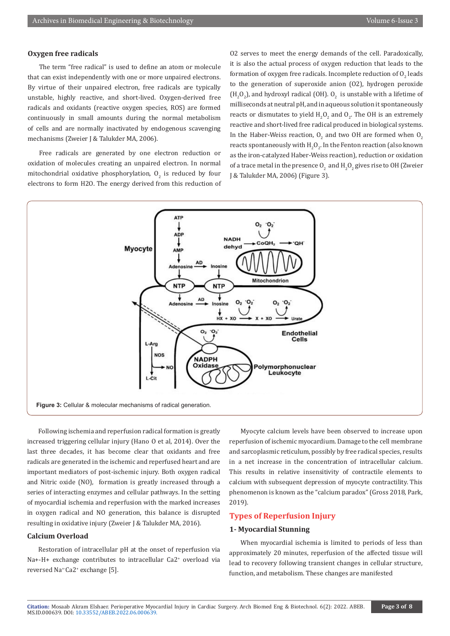# **Oxygen free radicals**

The term "free radical" is used to define an atom or molecule that can exist independently with one or more unpaired electrons. By virtue of their unpaired electron, free radicals are typically unstable, highly reactive, and short-lived. Oxygen-derived free radicals and oxidants (reactive oxygen species, ROS) are formed continuously in small amounts during the normal metabolism of cells and are normally inactivated by endogenous scavenging mechanisms (Zweier J & Talukder MA, 2006).

Free radicals are generated by one electron reduction or oxidation of molecules creating an unpaired electron. In normal mitochondrial oxidative phosphorylation,  $\mathsf{U}_2$  is reduced by four electrons to form H2O. The energy derived from this reduction of

O2 serves to meet the energy demands of the cell. Paradoxically, it is also the actual process of oxygen reduction that leads to the formation of oxygen free radicals. Incomplete reduction of  $\mathrm{O}_2$  leads to the generation of superoxide anion (O2), hydrogen peroxide  $(H_2O_2)$ , and hydroxyl radical (OH).  $O_2$  is unstable with a lifetime of milliseconds at neutral pH, and in aqueous solution it spontaneously reacts or dismutates to yield  $H_2O_2$  and  $O_2$ . The OH is an extremely reactive and short-lived free radical produced in biological systems. In the Haber-Weiss reaction,  $O_2$  and two OH are formed when  $O_2$ reacts spontaneously with  $H_2O_2$ . In the Fenton reaction (also known as the iron-catalyzed Haber-Weiss reaction), reduction or oxidation of a trace metal in the presence  $O_2^2$  and  $H_2O_2^2$  gives rise to OH (Zweier J & Talukder MA, 2006) (Figure 3).



Following ischemia and reperfusion radical formation is greatly increased triggering cellular injury (Hano O et al, 2014). Over the last three decades, it has become clear that oxidants and free radicals are generated in the ischemic and reperfused heart and are important mediators of post-ischemic injury. Both oxygen radical and Nitric oxide (NO), formation is greatly increased through a series of interacting enzymes and cellular pathways. In the setting of myocardial ischemia and reperfusion with the marked increases in oxygen radical and NO generation, this balance is disrupted resulting in oxidative injury (Zweier J & Talukder MA, 2016).

# **Calcium Overload**

Restoration of intracellular pH at the onset of reperfusion via Na+-H+ exchange contributes to intracellular Ca2<sup>+</sup> overload via reversed Na+-Ca2+ exchange [5].

Myocyte calcium levels have been observed to increase upon reperfusion of ischemic myocardium. Damage to the cell membrane and sarcoplasmic reticulum, possibly by free radical species, results in a net increase in the concentration of intracellular calcium. This results in relative insensitivity of contractile elements to calcium with subsequent depression of myocyte contractility. This phenomenon is known as the "calcium paradox" (Gross 2018, Park, 2019).

# **Types of Reperfusion Injury**

### **1- Myocardial Stunning**

When myocardial ischemia is limited to periods of less than approximately 20 minutes, reperfusion of the affected tissue will lead to recovery following transient changes in cellular structure, function, and metabolism. These changes are manifested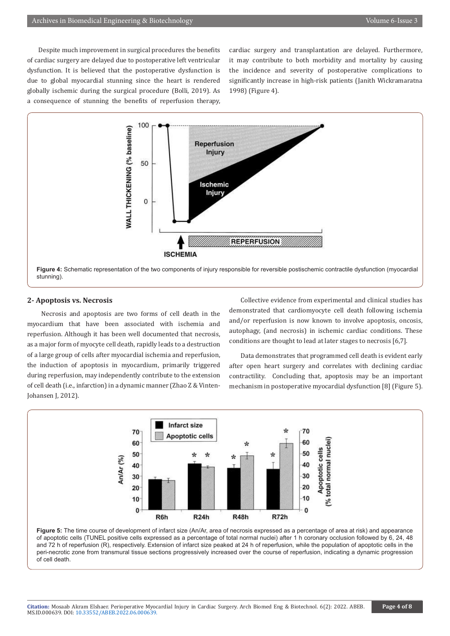Despite much improvement in surgical procedures the benefits of cardiac surgery are delayed due to postoperative left ventricular dysfunction. It is believed that the postoperative dysfunction is due to global myocardial stunning since the heart is rendered globally ischemic during the surgical procedure (Bolli, 2019). As a consequence of stunning the benefits of reperfusion therapy,

cardiac surgery and transplantation are delayed. Furthermore, it may contribute to both morbidity and mortality by causing the incidence and severity of postoperative complications to significantly increase in high-risk patients (Janith Wickramaratna 1998) (Figure 4).



#### **2- Apoptosis vs. Necrosis**

 Necrosis and apoptosis are two forms of cell death in the myocardium that have been associated with ischemia and reperfusion. Although it has been well documented that necrosis, as a major form of myocyte cell death, rapidly leads to a destruction of a large group of cells after myocardial ischemia and reperfusion, the induction of apoptosis in myocardium, primarily triggered during reperfusion, may independently contribute to the extension of cell death (i.e., infarction) in a dynamic manner (Zhao Z & Vinten-Johansen J, 2012).

Collective evidence from experimental and clinical studies has demonstrated that cardiomyocyte cell death following ischemia and/or reperfusion is now known to involve apoptosis, oncosis, autophagy, (and necrosis) in ischemic cardiac conditions. These conditions are thought to lead at later stages to necrosis [6,7].

Data demonstrates that programmed cell death is evident early after open heart surgery and correlates with declining cardiac contractility. Concluding that, apoptosis may be an important mechanism in postoperative myocardial dysfunction [8] (Figure 5).



**Figure 5:** The time course of development of infarct size (An/Ar, area of necrosis expressed as a percentage of area at risk) and appearance of apoptotic cells (TUNEL positive cells expressed as a percentage of total normal nuclei) after 1 h coronary occlusion followed by 6, 24, 48 and 72 h of reperfusion (R), respectively. Extension of infarct size peaked at 24 h of reperfusion, while the population of apoptotic cells in the peri-necrotic zone from transmural tissue sections progressively increased over the course of reperfusion, indicating a dynamic progression of cell death.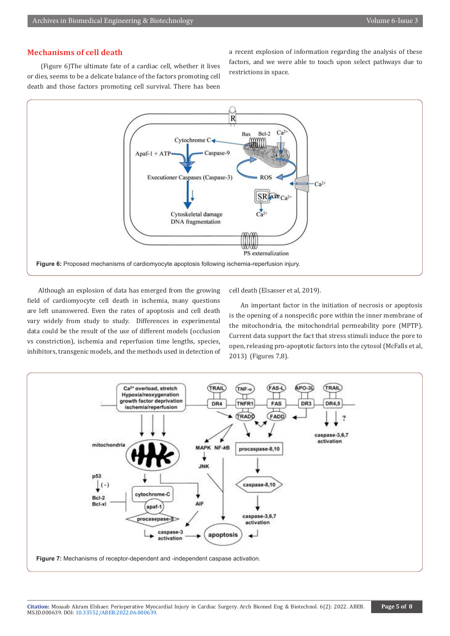# **Mechanisms of cell death**

 (Figure 6)The ultimate fate of a cardiac cell, whether it lives or dies, seems to be a delicate balance of the factors promoting cell death and those factors promoting cell survival. There has been

a recent explosion of information regarding the analysis of these factors, and we were able to touch upon select pathways due to restrictions in space.



Although an explosion of data has emerged from the growing field of cardiomyocyte cell death in ischemia, many questions are left unanswered. Even the rates of apoptosis and cell death vary widely from study to study. Differences in experimental data could be the result of the use of different models (occlusion vs constriction), ischemia and reperfusion time lengths, species, inhibitors, transgenic models, and the methods used in detection of cell death (Elsasser et al, 2019).

An important factor in the initiation of necrosis or apoptosis is the opening of a nonspecific pore within the inner membrane of the mitochondria, the mitochondrial permeability pore (MPTP). Current data support the fact that stress stimuli induce the pore to open, releasing pro-apoptotic factors into the cytosol (McFalls et al, 2013) (Figures 7,8).

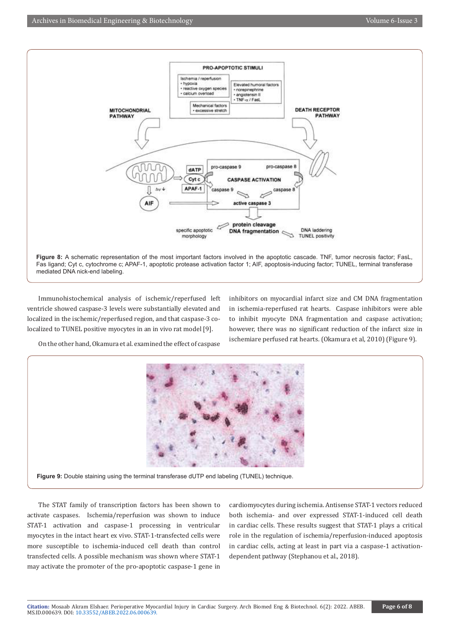

Immunohistochemical analysis of ischemic/reperfused left ventricle showed caspase-3 levels were substantially elevated and localized in the ischemic/reperfused region, and that caspase-3 colocalized to TUNEL positive myocytes in an in vivo rat model [9].

inhibitors on myocardial infarct size and CM DNA fragmentation in ischemia-reperfused rat hearts. Caspase inhibitors were able to inhibit myocyte DNA fragmentation and caspase activation; however, there was no significant reduction of the infarct size in ischemiare perfused rat hearts. (Okamura et al, 2010) (Figure 9).

On the other hand, Okamura et al. examined the effect of caspase



The STAT family of transcription factors has been shown to activate caspases. Ischemia/reperfusion was shown to induce STAT-1 activation and caspase-1 processing in ventricular myocytes in the intact heart ex vivo. STAT-1-transfected cells were more susceptible to ischemia-induced cell death than control transfected cells. A possible mechanism was shown where STAT-1 may activate the promoter of the pro-apoptotic caspase-1 gene in

cardiomyocytes during ischemia. Antisense STAT-1 vectors reduced both ischemia- and over expressed STAT-1-induced cell death in cardiac cells. These results suggest that STAT-1 plays a critical role in the regulation of ischemia/reperfusion-induced apoptosis in cardiac cells, acting at least in part via a caspase-1 activationdependent pathway (Stephanou et al., 2018).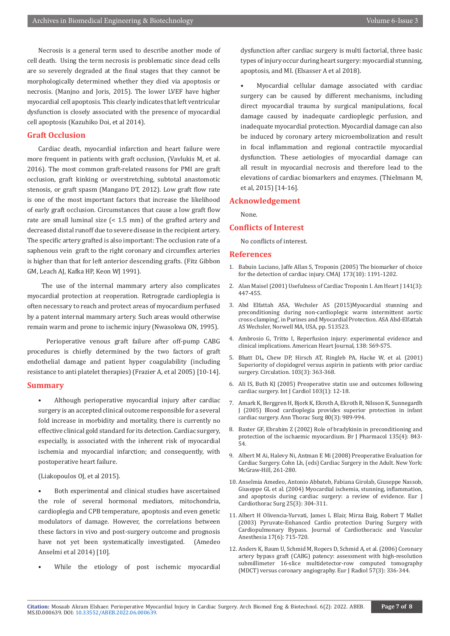Necrosis is a general term used to describe another mode of cell death. Using the term necrosis is problematic since dead cells are so severely degraded at the final stages that they cannot be morphologically determined whether they died via apoptosis or necrosis. (Manjno and Joris, 2015). The lower LVEF have higher myocardial cell apoptosis. This clearly indicates that left ventricular dysfunction is closely associated with the presence of myocardial cell apoptosis (Kazuhiko Doi, et al 2014).

# **Graft Occlusion**

Cardiac death, myocardial infarction and heart failure were more frequent in patients with graft occlusion, (Vavlukis M, et al. 2016). The most common graft-related reasons for PMI are graft occlusion, graft kinking or overstretching, subtotal anastomotic stenosis, or graft spasm (Mangano DT, 2012). Low graft flow rate is one of the most important factors that increase the likelihood of early graft occlusion. Circumstances that cause a low graft flow rate are small luminal size (< 1.5 mm) of the grafted artery and decreased distal runoff due to severe disease in the recipient artery. The specific artery grafted is also important: The occlusion rate of a saphenous vein graft to the right coronary and circumflex arteries is higher than that for left anterior descending grafts. (Fitz Gibbon GM, Leach AJ, Kafka HP, Keon WJ 1991).

 The use of the internal mammary artery also complicates myocardial protection at reoperation. Retrograde cardioplegia is often necessary to reach and protect areas of myocardium perfused by a patent internal mammary artery. Such areas would otherwise remain warm and prone to ischemic injury (Nwasokwa ON, 1995).

 Perioperative venous graft failure after off-pump CABG procedures is chiefly determined by the two factors of graft endothelial damage and patient hyper coagulability (including resistance to anti platelet therapies) (Frazier A, et al 2005) [10-14].

### **Summary**

Although perioperative myocardial injury after cardiac surgery is an accepted clinical outcome responsible for a several fold increase in morbidity and mortality, there is currently no effective clinical gold standard for its detection. Cardiac surgery, especially, is associated with the inherent risk of myocardial ischemia and myocardial infarction; and consequently, with postoperative heart failure.

#### (Liakopoulos OJ, et al 2015).

Both experimental and clinical studies have ascertained the role of several hormonal mediators, mitochondria, cardioplegia and CPB temperature, apoptosis and even genetic modulators of damage. However, the correlations between these factors in vivo and post-surgery outcome and prognosis have not yet been systematically investigated. (Amedeo Anselmi et al 2014) [10].

While the etiology of post ischemic myocardial

dysfunction after cardiac surgery is multi factorial, three basic types of injury occur during heart surgery: myocardial stunning, apoptosis, and MI. (Elsasser A et al 2018).

• Myocardial cellular damage associated with cardiac surgery can be caused by different mechanisms, including direct myocardial trauma by surgical manipulations, focal damage caused by inadequate cardioplegic perfusion, and inadequate myocardial protection. Myocardial damage can also be induced by coronary artery microembolization and result in focal inflammation and regional contractile myocardial dysfunction. These aetiologies of myocardial damage can all result in myocardial necrosis and therefore lead to the elevations of cardiac biomarkers and enzymes. (Thielmann M, et al, 2015) [14-16].

#### **Acknowledgement**

None.

### **Conflicts of Interest**

No conflicts of interest.

#### **References**

- 1. [Babuin Luciano, Jaffe Allan S, Troponin \(2005\) The biomarker of choice](https://pubmed.ncbi.nlm.nih.gov/16275971/) [for the detection of cardiac injury. CMAJ 173\(10\): 1191-1202.](https://pubmed.ncbi.nlm.nih.gov/16275971/)
- 2. Alan Maisel (2001) Usefulness of Cardiac Troponin I. Am Heart J 141(3): 447-455.
- 3. Abd Elfattah ASA, Wechsler AS (2015)Myocardial stunning and preconditioning during non-cardioplegic warm intermittent aortic cross-clamping', in Purines and Myocardial Protection. ASA Abd-Elfattah AS Wechsler, Norwell MA, USA, pp. 513523.
- 4. Ambrosio G, Tritto I, Reperfusion injury: experimental evidence and clinical implications. American Heart Journal, 138: S69-S75.
- 5. [Bhatt DL, Chew DP, Hirsch AT, Ringleb PA, Hacke W, et al. \(2001\)](https://pubmed.ncbi.nlm.nih.gov/11157686/) [Superiority of clopidogrel versus aspirin in patients with prior cardiac](https://pubmed.ncbi.nlm.nih.gov/11157686/) [surgery. Circulation. 103\(3\): 363-368.](https://pubmed.ncbi.nlm.nih.gov/11157686/)
- 6. [Ali IS, Buth KJ \(2005\) Preoperative statin use and outcomes following](https://pubmed.ncbi.nlm.nih.gov/16061117/) [cardiac surgery. Int J Cardiol 103\(1\): 12-18.](https://pubmed.ncbi.nlm.nih.gov/16061117/)
- 7. [Amark K, Berggren H, Bjork K, Ekroth A, Ekroth R, Nilsson K, Sunnegardh](https://pubmed.ncbi.nlm.nih.gov/16122471/) [J \(2005\) Blood cardioplegia provides superior protection in infant](https://pubmed.ncbi.nlm.nih.gov/16122471/) [cardiac surgery. Ann Thorac Surg 80\(3\): 989-994.](https://pubmed.ncbi.nlm.nih.gov/16122471/)
- 8. [Baxter GF, Ebrahim Z \(2002\) Role of bradykinin in preconditioning and](https://pubmed.ncbi.nlm.nih.gov/11861312/) [protection of the ischaemic myocardium. Br J Pharmacol 135\(4\): 843-](https://pubmed.ncbi.nlm.nih.gov/11861312/) [54.](https://pubmed.ncbi.nlm.nih.gov/11861312/)
- 9. Albert M Ai, Halevy Ni, Antman E Mi (2008) Preoperative Evaluation for Cardiac Surgery. Cohn Lh, (eds) Cardiac Surgery in the Adult. New York: McGraw-Hill, 261-280.
- 10. [Anselmia Amedeo, Antonio Abbateb, Fabiana Girolab, Giuseppe Nassob,](https://pubmed.ncbi.nlm.nih.gov/15019653/) [Giuseppe GL et al. \(2004\) Myocardial ischemia, stunning, inflammation,](https://pubmed.ncbi.nlm.nih.gov/15019653/) [and apoptosis during cardiac surgery: a review of evidence. Eur J](https://pubmed.ncbi.nlm.nih.gov/15019653/) [Cardiothorac Surg 25\(3\): 304-311.](https://pubmed.ncbi.nlm.nih.gov/15019653/)
- 11. [Albert H Olivencia-Yurvati, James L Blair, Mirza Baig, Robert T Mallet](https://www.sciencedirect.com/science/article/abs/pii/S1053077003002684) [\(2003\) Pyruvate-Enhanced Cardio protection During Surgery with](https://www.sciencedirect.com/science/article/abs/pii/S1053077003002684) [Cardiopulmonary Bypass. Journal of Cardiothoracic and Vascular](https://www.sciencedirect.com/science/article/abs/pii/S1053077003002684) [Anesthesia 17\(6\): 715-720.](https://www.sciencedirect.com/science/article/abs/pii/S1053077003002684)
- 12. [Anders K, Baum U, Schmid M, Ropers D, Schmid A, et al. \(2006\) Coronary](https://pubmed.ncbi.nlm.nih.gov/16446072/) [artery bypass graft \(CABG\) patency: assessment with high-resolution](https://pubmed.ncbi.nlm.nih.gov/16446072/) [submillimeter 16-slice multidetector-row computed tomography](https://pubmed.ncbi.nlm.nih.gov/16446072/) [\(MDCT\) versus coronary angiography. Eur J Radiol 57\(3\): 336-344.](https://pubmed.ncbi.nlm.nih.gov/16446072/)